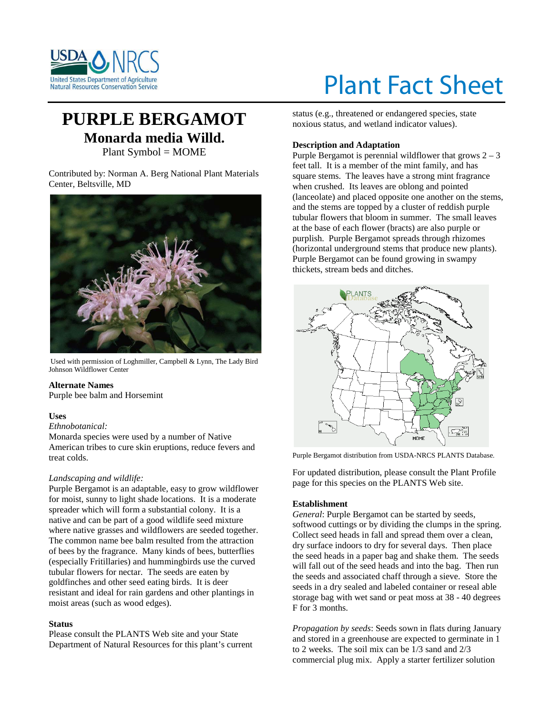

# Plant Fact Sheet

# **PURPLE BERGAMOT Monarda media Willd.** Plant Symbol = MOME

Contributed by: Norman A. Berg National Plant Materials Center, Beltsville, MD



Used with permission of Loghmiller, Campbell & Lynn, The Lady Bird Johnson Wildflower Center

## **Alternate Names**

Purple bee balm and Horsemint

## **Uses**

## *Ethnobotanical:*

Monarda species were used by a number of Native American tribes to cure skin eruptions, reduce fevers and treat colds.

## *Landscaping and wildlife:*

Purple Bergamot is an adaptable, easy to grow wildflower for moist, sunny to light shade locations. It is a moderate spreader which will form a substantial colony. It is a native and can be part of a good wildlife seed mixture where native grasses and wildflowers are seeded together. The common name bee balm resulted from the attraction of bees by the fragrance. Many kinds of bees, butterflies (especially Fritillaries) and hummingbirds use the curved tubular flowers for nectar. The seeds are eaten by goldfinches and other seed eating birds. It is deer resistant and ideal for rain gardens and other plantings in moist areas (such as wood edges).

## **Status**

Please consult the PLANTS Web site and your State Department of Natural Resources for this plant's current

status (e.g., threatened or endangered species, state noxious status, and wetland indicator values).

# **Description and Adaptation**

Purple Bergamot is perennial wildflower that grows  $2 - 3$ feet tall. It is a member of the mint family, and has square stems. The leaves have a strong mint fragrance when crushed. Its leaves are oblong and pointed (lanceolate) and placed opposite one another on the stems, and the stems are topped by a cluster of reddish purple tubular flowers that bloom in summer. The small leaves at the base of each flower (bracts) are also purple or purplish. Purple Bergamot spreads through rhizomes (horizontal underground stems that produce new plants). Purple Bergamot can be found growing in swampy thickets, stream beds and ditches.



Purple Bergamot distribution from USDA-NRCS PLANTS Database.

For updated distribution, please consult the Plant Profile page for this species on the PLANTS Web site.

# **Establishment**

*General*: Purple Bergamot can be started by seeds, softwood cuttings or by dividing the clumps in the spring. Collect seed heads in fall and spread them over a clean, dry surface indoors to dry for several days. Then place the seed heads in a paper bag and shake them. The seeds will fall out of the seed heads and into the bag. Then run the seeds and associated chaff through a sieve. Store the seeds in a dry sealed and labeled container or reseal able storage bag with wet sand or peat moss at 38 - 40 degrees F for 3 months.

*Propagation by seeds*: Seeds sown in flats during January and stored in a greenhouse are expected to germinate in 1 to 2 weeks. The soil mix can be 1/3 sand and 2/3 commercial plug mix. Apply a starter fertilizer solution